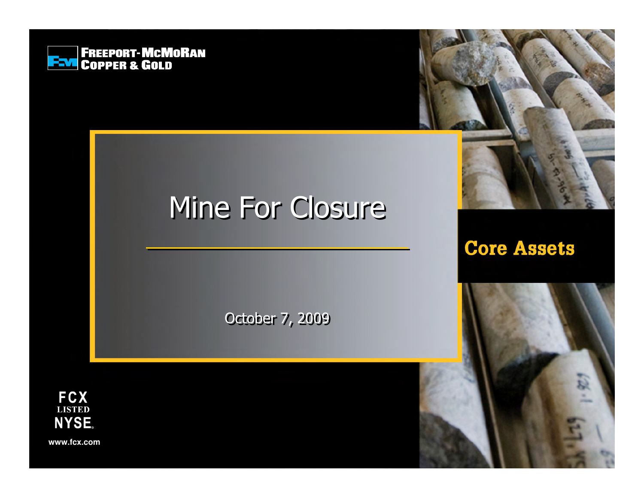

## Mine For Closure

October 7, 2009

**Core Assets** 



www.fcx.com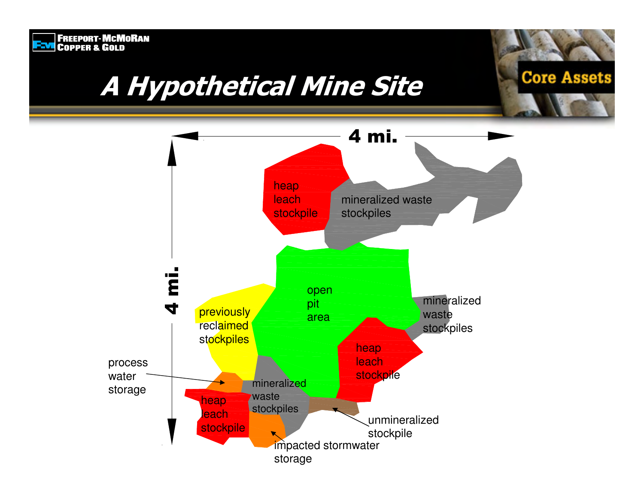# **ENGINEER SCHOOL**<br>FING COPPER & GOLD A Hypothetical Mine Site



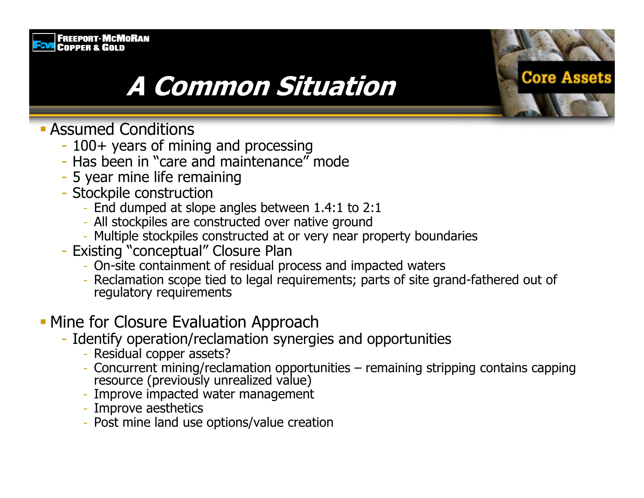#### **FREEPORT-MCMORAN FEVE COPPER & GOLD**

### **A Common Situation**

- **Assumed Conditions** 
	- 100+ years of mining and processing
	- Has been in "care and maintenance" mode
	- 5 year mine life remaining
	- Stockpile construction
		- End dumped at slope angles between 1.4:1 to 2:1
		- All stockpiles are constructed over native ground
		- Multiple stockpiles constructed at or very near property boundaries
	- Existing "conceptual" Closure Plan
		- On-site containment of residual process and impacted waters
		- Reclamation scope tied to legal requirements; parts of site grand-fathered out of regulatory requirements

**Core Assets** 

### • Mine for Closure Evaluation Approach

- Identify operation/reclamation synergies and opportunities
	- Residual copper assets?
	- Concurrent mining/reclamation opportunities remaining stripping contains capping resource (previously unrealized value)
	- Improve impacted water management
	- Improve aesthetics
	- Post mine land use options/value creation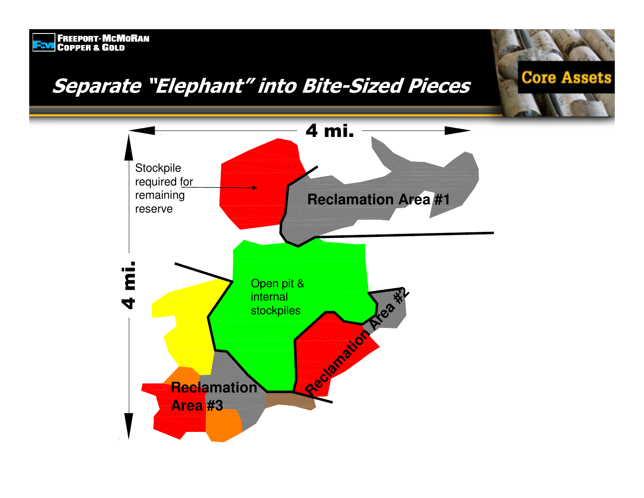### Separate "Elephant" into Bite-Sized Pieces

**ENGINEER ENGINEER**<br>ENGINEER & GOLD



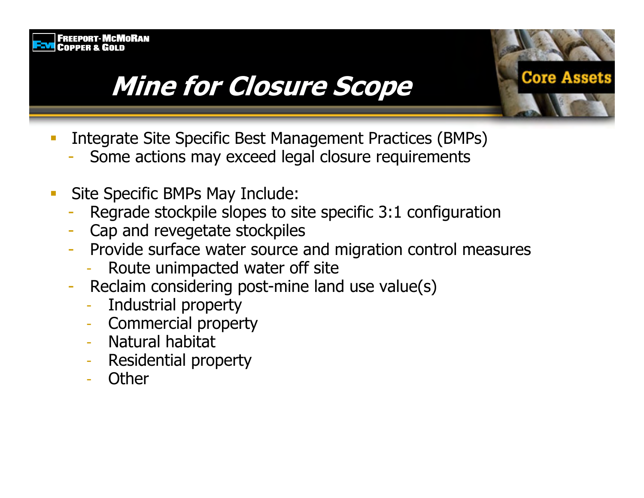

### **Mine for Closure Scope**

- Integrate Site Specific Best Management Practices (BMPs)
	- Some actions may exceed legal closure requirements
- Site Specific BMPs May Include:  $\mathcal{L}_{\mathcal{A}}$ 
	- Regrade stockpile slopes to site specific 3:1 configuration
	- Cap and revegetate stockpiles
	- Provide surface water source and migration control measures

Core Assets

- Route unimpacted water off site
- Reclaim considering post-mine land use value(s)
	- Industrial property
	- **Commercial property**
	- Natural habitat
	- **Residential property**
	- Other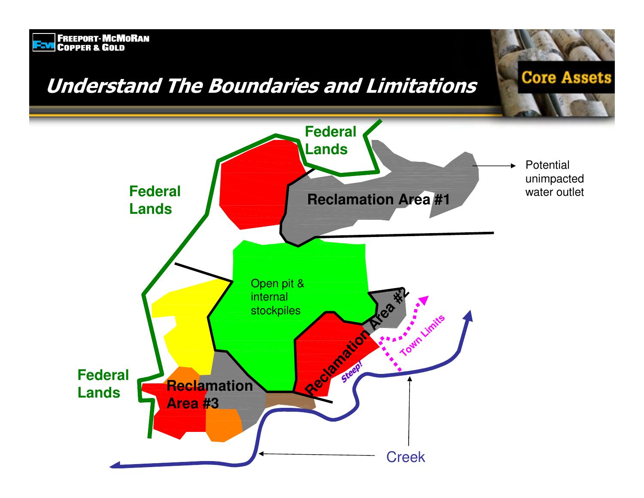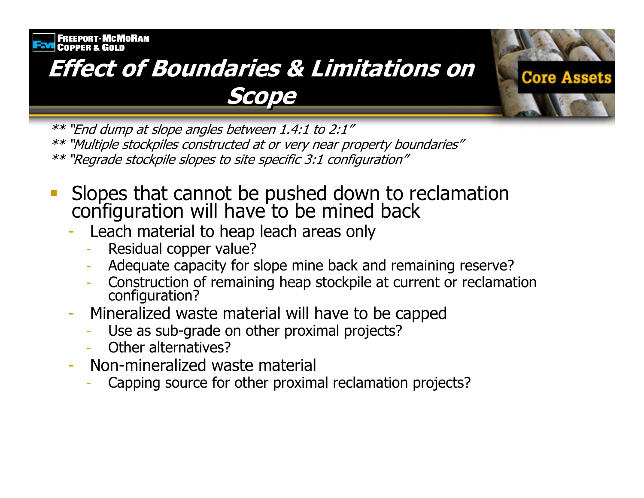### **Effect of Boundaries & Limitations on** Scope



- Slopes that cannot be pushed down to reclamation configuration will have to be mined back
	- Leach material to heap leach areas only
		- Residual copper value?
		- Adequate capacity for slope mine back and remaining reserve?
		- Construction of remaining heap stockpile at current or reclamation configuration?

**Core Assets** 

- Mineralized waste material will have to be capped
	- Use as sub-grade on other proximal projects?
	- Other alternatives?
- Non-mineralized waste material
	- Capping source for other proximal reclamation projects?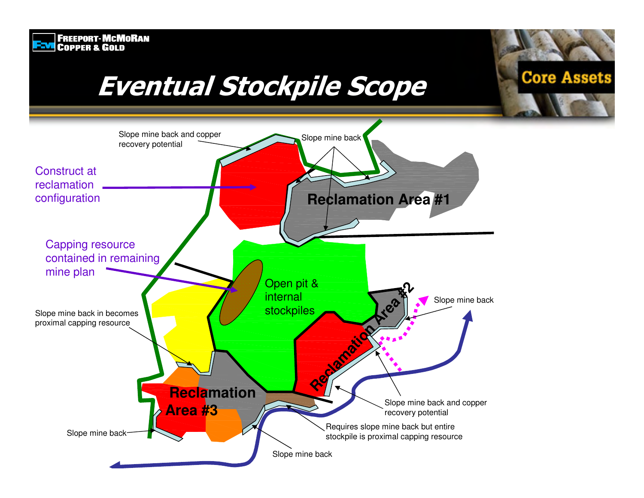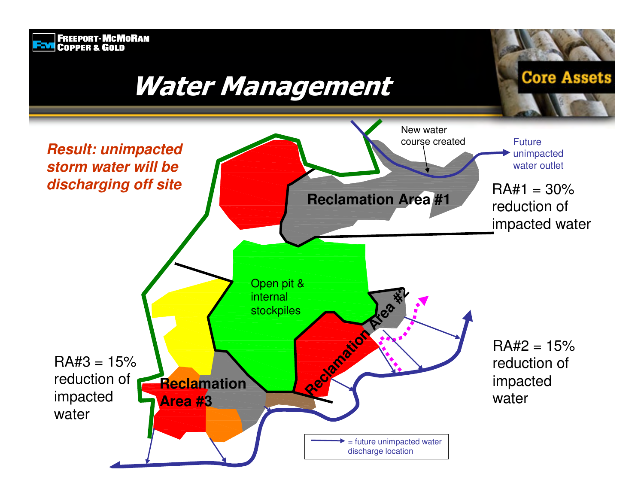